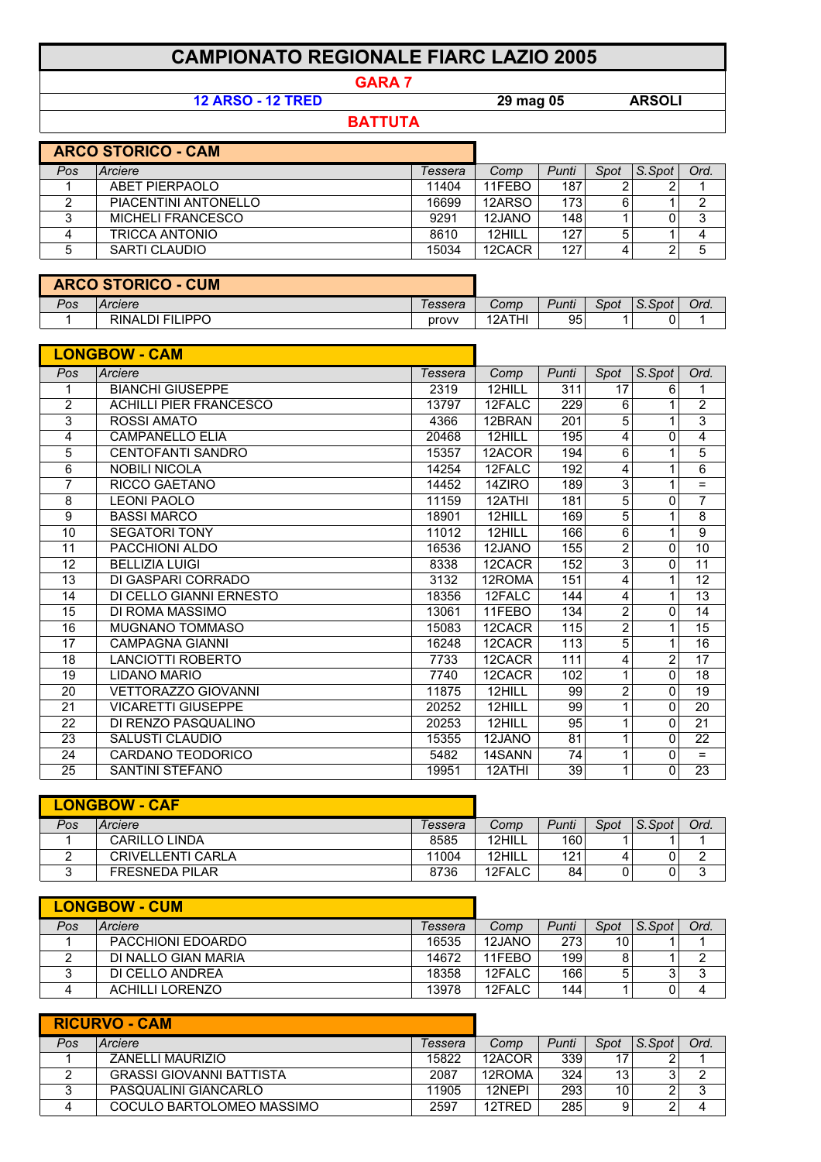## **CAMPIONATO REGIONALE FIARC LAZIO 2005**

## **GARA 7**

**12 ARSO - 12 TRED 29 mag 05 ARSOLI**

**BATTUTA** 

|     | <b>ARCO STORICO - CAM</b> |         |        |       |      |        |      |
|-----|---------------------------|---------|--------|-------|------|--------|------|
| Pos | Arciere                   | Tessera | Comp   | Punti | Spot | S.Spot | Ord. |
|     | ABET PIERPAOLO            | 11404   | 11FFBO | 187   |      |        |      |
|     | PIACENTINI ANTONELLO      | 16699   | 12ARSO | 173   | 6    |        |      |
|     | MICHELI FRANCESCO         | 9291    | 12JANO | 148   |      |        | ີ    |
|     | TRICCA ANTONIO            | 8610    | 12HILL | 127   | 5    |        |      |
|     | SARTI CLAUDIO             | 15034   | 12CACR | 127   | 4    |        | 5    |
|     |                           |         |        |       |      |        |      |

|     | <b>ARCO STORICO - CUM</b> |         |        |       |      |        |      |
|-----|---------------------------|---------|--------|-------|------|--------|------|
| Pos | Arciere                   | Tessera | Comp   | Punti | Spot | S.Spot | Ord. |
|     | <b>RINALDI FILIPPO</b>    | provv   | 12ATHI | 95    |      |        |      |

|                | <b>LONGBOW - CAM</b>       |         |        |       |                |        |                |
|----------------|----------------------------|---------|--------|-------|----------------|--------|----------------|
| Pos            | Arciere                    | Tessera | Comp   | Punti | Spot           | S.Spot | Ord.           |
| 1              | <b>BIANCHI GIUSEPPE</b>    | 2319    | 12HILL | 311   | 17             | 6      | 1              |
| $\overline{2}$ | ACHILLI PIER FRANCESCO     | 13797   | 12FALC | 229   | 6              |        | $\overline{2}$ |
| 3              | <b>ROSSI AMATO</b>         | 4366    | 12BRAN | 201   | 5              |        | 3              |
| 4              | <b>CAMPANELLO ELIA</b>     | 20468   | 12HILL | 195   | 4              | 0      | 4              |
| 5              | <b>CENTOFANTI SANDRO</b>   | 15357   | 12ACOR | 194   | 6              |        | $\overline{5}$ |
| 6              | <b>NOBILI NICOLA</b>       | 14254   | 12FALC | 192   | 4              |        | 6              |
| $\overline{7}$ | <b>RICCO GAETANO</b>       | 14452   | 14ZIRO | 189   | 3              |        | $\equiv$       |
| 8              | <b>LEONI PAOLO</b>         | 11159   | 12ATHI | 181   | 5              | 0      | $\overline{7}$ |
| 9              | <b>BASSI MARCO</b>         | 18901   | 12HILL | 169   | 5              |        | 8              |
| 10             | <b>SEGATORI TONY</b>       | 11012   | 12HILL | 166   | 6              |        | 9              |
| 11             | PACCHIONI ALDO             | 16536   | 12JANO | 155   | 2              | 0      | 10             |
| 12             | <b>BELLIZIA LUIGI</b>      | 8338    | 12CACR | 152   | 3              | 0      | 11             |
| 13             | DI GASPARI CORRADO         | 3132    | 12ROMA | 151   | 4              |        | 12             |
| 14             | DI CELLO GIANNI ERNESTO    | 18356   | 12FALC | 144   | 4              |        | 13             |
| 15             | DI ROMA MASSIMO            | 13061   | 11FEBO | 134   | $\overline{2}$ | 0      | 14             |
| 16             | <b>MUGNANO TOMMASO</b>     | 15083   | 12CACR | 115   | $\overline{c}$ | 1      | 15             |
| 17             | <b>CAMPAGNA GIANNI</b>     | 16248   | 12CACR | 113   | 5              |        | 16             |
| 18             | <b>LANCIOTTI ROBERTO</b>   | 7733    | 12CACR | 111   | 4              | 2      | 17             |
| 19             | <b>LIDANO MARIO</b>        | 7740    | 12CACR | 102   |                | 0      | 18             |
| 20             | <b>VETTORAZZO GIOVANNI</b> | 11875   | 12HILL | 99    | 2              | 0      | 19             |
| 21             | <b>VICARETTI GIUSEPPE</b>  | 20252   | 12HILL | 99    | 1              | 0      | 20             |
| 22             | DI RENZO PASQUALINO        | 20253   | 12HILL | 95    | 1              | 0      | 21             |
| 23             | <b>SALUSTI CLAUDIO</b>     | 15355   | 12JANO | 81    | 1              | 0      | 22             |
| 24             | CARDANO TEODORICO          | 5482    | 14SANN | 74    | 1              | 0      | $=$            |
| 25             | <b>SANTINI STEFANO</b>     | 19951   | 12ATHI | 39    | $\overline{1}$ | 0      | 23             |

|     | <b>LONGBOW - CAF</b>  |         |        |       |      |        |      |
|-----|-----------------------|---------|--------|-------|------|--------|------|
| Pos | Arciere               | Tessera | Comp   | Punti | Spot | S.Spot | Ord. |
|     | <b>CARILLO LINDA</b>  | 8585    | 12HILL | 160   |      |        |      |
|     | CRIVELLENTI CARLA     | 11004   | 12HILL | 121   |      |        |      |
|     | <b>FRESNEDA PILAR</b> | 8736    | 12FALC | 84    |      |        |      |

|     | <b>LONGBOW - CUM</b> |         |        |       |                 |        |      |
|-----|----------------------|---------|--------|-------|-----------------|--------|------|
| Pos | Arciere              | Tessera | Comp   | Punti | Spot            | S.Spot | Ord. |
|     | PACCHIONI EDOARDO    | 16535   | 12JANO | 273   | 10 <sub>1</sub> |        |      |
|     | DI NALLO GIAN MARIA  | 14672   | 11FFBO | 199   |                 |        |      |
|     | DI CELLO ANDREA      | 18358   | 12FALC | 166   |                 |        |      |
|     | ACHILLI LORENZO      | 13978   | 12FALC | 144   |                 |        |      |

|     | <b>RICURVO - CAM</b>            |         |        |       |      |                     |      |
|-----|---------------------------------|---------|--------|-------|------|---------------------|------|
| Pos | Arciere                         | Tessera | Comp   | Punti | Spot | $\mathsf{S}$ . Spot | Ord. |
|     | ZANELLI MAURIZIO                | 15822   | 12ACOR | 339   | 17   |                     |      |
|     | <b>GRASSI GIOVANNI BATTISTA</b> | 2087    | 12ROMA | 324   | 13   |                     | ົ    |
|     | PASQUALINI GIANCARLO            | 11905   | 12NFPI | 293   | 10   |                     | ົ    |
|     | COCULO BARTOLOMEO MASSIMO       | 2597    | 12TRED | 285   | 9    |                     |      |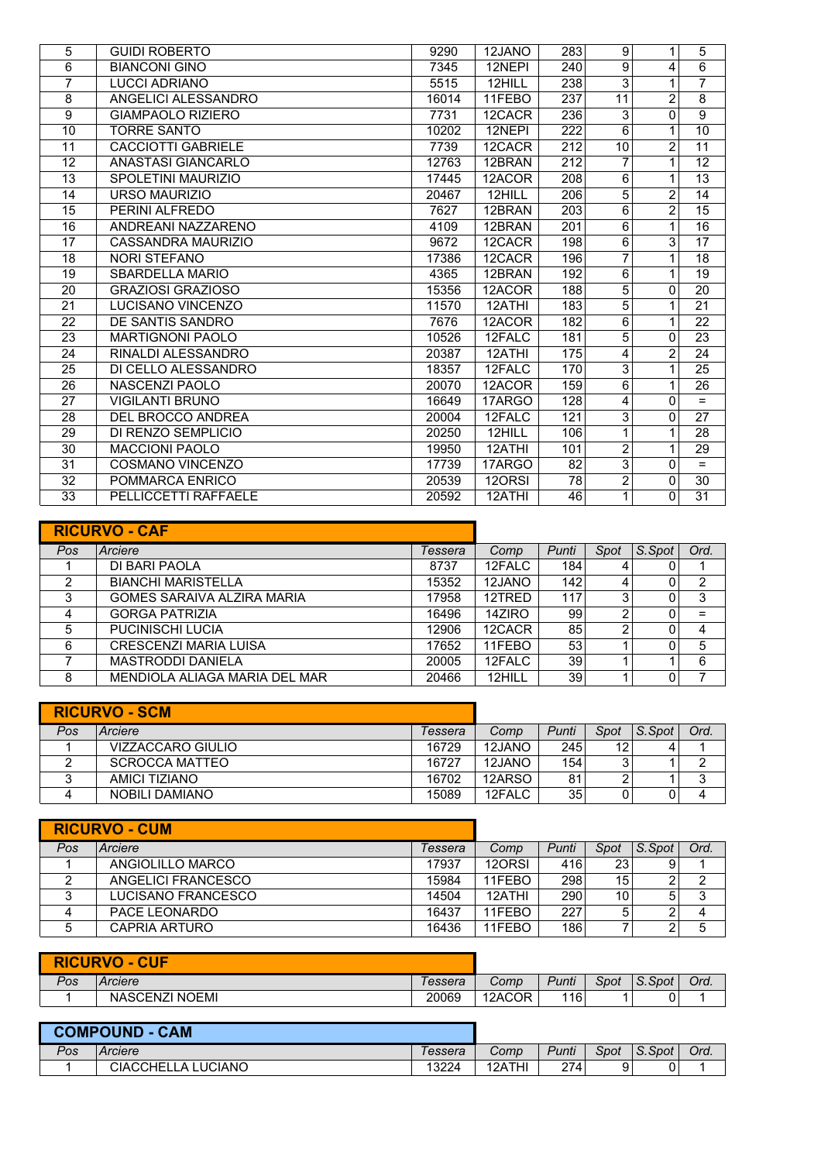| 5              | <b>GUIDI ROBERTO</b>      | 9290  | 12JANO | 283 | 9              | 1        | 5              |
|----------------|---------------------------|-------|--------|-----|----------------|----------|----------------|
| 6              | <b>BIANCONI GINO</b>      | 7345  | 12NEPI | 240 | 9              | 4        | 6              |
| $\overline{7}$ | <b>LUCCI ADRIANO</b>      | 5515  | 12HILL | 238 | 3              | 1        | $\overline{7}$ |
| 8              | ANGELICI ALESSANDRO       | 16014 | 11FEBO | 237 | 11             | 2        | 8              |
| 9              | <b>GIAMPAOLO RIZIERO</b>  | 7731  | 12CACR | 236 | 3              | 0        | $\overline{9}$ |
| 10             | <b>TORRE SANTO</b>        | 10202 | 12NEPI | 222 | 6              | 1        | 10             |
| 11             | <b>CACCIOTTI GABRIELE</b> | 7739  | 12CACR | 212 | 10             | 2        | 11             |
| 12             | <b>ANASTASI GIANCARLO</b> | 12763 | 12BRAN | 212 | 7              | 1        | 12             |
| 13             | SPOLETINI MAURIZIO        | 17445 | 12ACOR | 208 | 6              |          | 13             |
| 14             | <b>URSO MAURIZIO</b>      | 20467 | 12HILL | 206 | 5              | 2        | 14             |
| 15             | PERINI ALFREDO            | 7627  | 12BRAN | 203 | 6              | 2        | 15             |
| 16             | ANDREANI NAZZARENO        | 4109  | 12BRAN | 201 | 6              |          | 16             |
| 17             | CASSANDRA MAURIZIO        | 9672  | 12CACR | 198 | 6              | 3        | 17             |
| 18             | <b>NORI STEFANO</b>       | 17386 | 12CACR | 196 | 7              |          | 18             |
| 19             | <b>SBARDELLA MARIO</b>    | 4365  | 12BRAN | 192 | 6              | 1        | 19             |
| 20             | <b>GRAZIOSI GRAZIOSO</b>  | 15356 | 12ACOR | 188 | 5              | 0        | 20             |
| 21             | <b>LUCISANO VINCENZO</b>  | 11570 | 12ATHI | 183 | 5              | 1        | 21             |
| 22             | <b>DE SANTIS SANDRO</b>   | 7676  | 12ACOR | 182 | 6              | 1        | 22             |
| 23             | <b>MARTIGNONI PAOLO</b>   | 10526 | 12FALC | 181 | 5              | 0        | 23             |
| 24             | RINALDI ALESSANDRO        | 20387 | 12ATHI | 175 | 4              | 2        | 24             |
| 25             | DI CELLO ALESSANDRO       | 18357 | 12FALC | 170 | 3              |          | 25             |
| 26             | NASCENZI PAOLO            | 20070 | 12ACOR | 159 | 6              | 1        | 26             |
| 27             | <b>VIGILANTI BRUNO</b>    | 16649 | 17ARGO | 128 | 4              | 0        | $=$            |
| 28             | <b>DEL BROCCO ANDREA</b>  | 20004 | 12FALC | 121 | 3              | 0        | 27             |
| 29             | DI RENZO SEMPLICIO        | 20250 | 12HILL | 106 |                | 1        | 28             |
| 30             | <b>MACCIONI PAOLO</b>     | 19950 | 12ATHI | 101 | $\overline{2}$ |          | 29             |
| 31             | <b>COSMANO VINCENZO</b>   | 17739 | 17ARGO | 82  | 3              | 0        | $=$            |
| 32             | POMMARCA ENRICO           | 20539 | 120RSI | 78  | $\overline{2}$ | 0        | 30             |
| 33             | PELLICCETTI RAFFAELE      | 20592 | 12ATHI | 46  | $\mathbf{1}$   | $\Omega$ | 31             |

|     | <b>RICURVO - CAF</b>          |         |        |       |      |        |      |
|-----|-------------------------------|---------|--------|-------|------|--------|------|
| Pos | Arciere                       | Tessera | Comp   | Punti | Spot | S.Spot | Ord. |
|     | DI BARI PAOLA                 | 8737    | 12FALC | 184   | 4    |        |      |
| っ   | <b>BIANCHI MARISTELLA</b>     | 15352   | 12JANO | 142   | 4    |        | っ    |
| 3   | GOMES SARAIVA ALZIRA MARIA    | 17958   | 12TRED | 117   | 3    |        | 3    |
| 4   | <b>GORGA PATRIZIA</b>         | 16496   | 14ZIRO | 99    | 2    |        |      |
| 5   | PUCINISCHI LUCIA              | 12906   | 12CACR | 85    | 2    |        |      |
| 6   | <b>CRESCENZI MARIA LUISA</b>  | 17652   | 11FEBO | 53    |      |        | 5    |
|     | MASTRODDI DANIELA             | 20005   | 12FALC | 39    |      |        | 6    |
| 8   | MENDIOLA ALIAGA MARIA DEL MAR | 20466   | 12HILL | 39    |      |        |      |

|     | <b>RICURVO - SCM</b> |         |        |       |                   |                |      |
|-----|----------------------|---------|--------|-------|-------------------|----------------|------|
| Pos | Arciere              | Tessera | Comp   | Punti | Spot              | $\mid$ S. Spot | Ord. |
|     | VIZZACCARO GIULIO    | 16729   | 12JANO | 245   | $12 \overline{ }$ |                |      |
|     | SCROCCA MATTEO       | 16727   | 12JANO | 154   | 3                 |                |      |
|     | AMICI TIZIANO        | 16702   | 12ARSO | 81    | າ                 |                | ີ    |
|     | NOBILI DAMIANO       | 15089   | 12FALC | 35    |                   |                |      |

|     | <b>RICURVO - CUM</b> |         |        |       |                 |        |      |
|-----|----------------------|---------|--------|-------|-----------------|--------|------|
| Pos | Arciere              | Tessera | Comp   | Punti | Spot            | S.Spot | Ord. |
|     | ANGIOLILLO MARCO     | 17937   | 120RSI | 416   | 23              |        |      |
| ົ   | ANGELICI FRANCESCO   | 15984   | 11FFBO | 298   | 15 <sub>1</sub> |        | າ    |
| ◠   | LUCISANO FRANCESCO   | 14504   | 12ATHI | 290   | 10              |        | 3    |
|     | PACE LEONARDO        | 16437   | 11FFBO | 227   | 5               |        |      |
|     | CAPRIA ARTURO        | 16436   | 11FFBO | 186   |                 |        | 5    |

| <b>RICURVO</b><br><b>CUF</b><br>$\blacksquare$ |                |         |        |       |      |        |      |
|------------------------------------------------|----------------|---------|--------|-------|------|--------|------|
| Pos                                            | Arciere        | Tessera | Comp   | Punti | Spot | S.Spot | Ord. |
|                                                | NASCENZI NOEMI | 20069   | 12ACOR | 116   |      |        |      |

|          | <b>COMPOUND - CAM</b> |         |        |       |      |        |      |
|----------|-----------------------|---------|--------|-------|------|--------|------|
| $P_{OS}$ | Arciere               | Tessera | Comp   | Punti | Spot | S.Spot | Ord. |
|          | CIACCHELLA LUCIANO    | 13224   | 12ATHI | 274   | 9    |        |      |